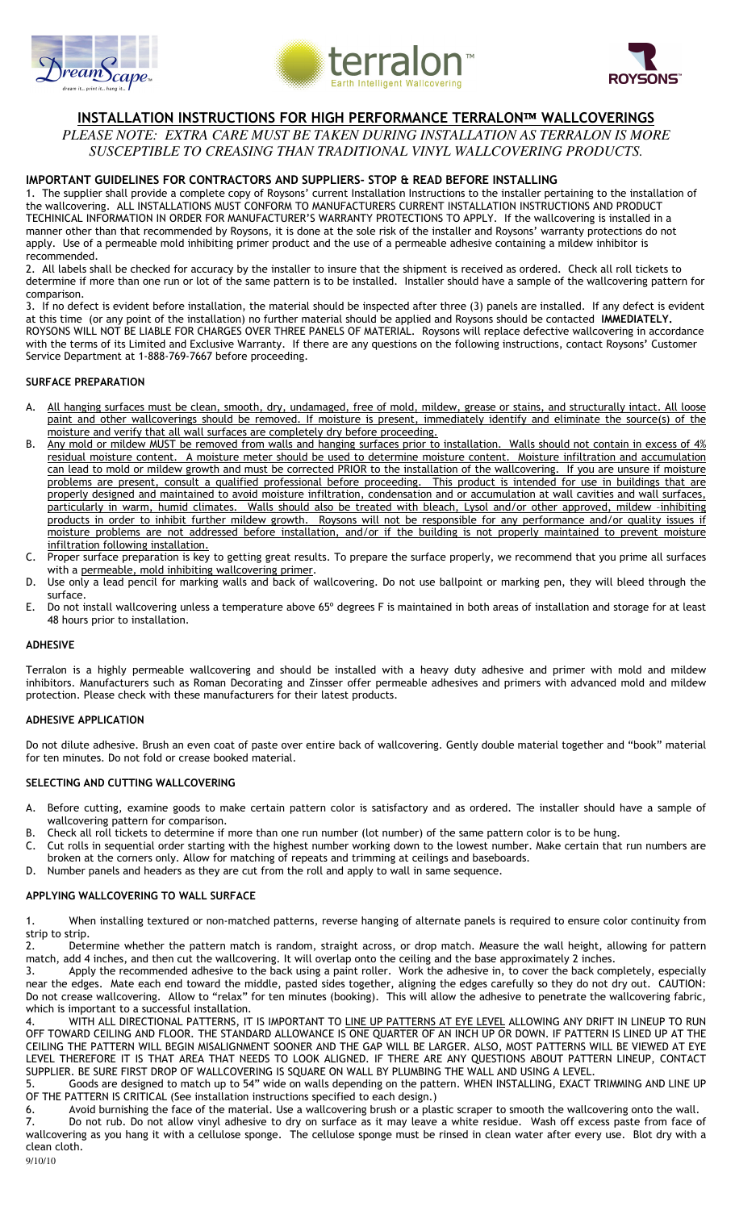





# **INSTALLATION INSTRUCTIONS FOR HIGH PERFORMANCE TERRALON™ WALLCOVERINGS**

PLEASE NOTE: EXTRA CARE MUST BE TAKEN DURING INSTALLATION AS TERRALON IS MORE *SUSCEPTIBLE TO CREASING THAN TRADITIONAL VINYL WALLCOVERING PRODUCTS.* 

# IMPORTANT GUIDELINES FOR CONTRACTORS AND SUPPLIERS- STOP & READ BEFORE INSTALLING

1. The supplier shall provide a complete copy of Roysons' current Installation Instructions to the installer pertaining to the installation of the wallcovering. ALL INSTALLATIONS MUST CONFORM TO MANUFACTURERS CURRENT INSTALLATION INSTRUCTIONS AND PRODUCT TECHINICAL INFORMATION IN ORDER FOR MANUFACTURER'S WARRANTY PROTECTIONS TO APPLY. If the wallcovering is installed in a manner other than that recommended by Roysons, it is done at the sole risk of the installer and Roysons' warranty protections do not apply. Use of a permeable mold inhibiting primer product and the use of a permeable adhesive containing a mildew inhibitor is recommended.

2. All labels shall be checked for accuracy by the installer to insure that the shipment is received as ordered. Check all roll tickets to determine if more than one run or lot of the same pattern is to be installed. Installer should have a sample of the wallcovering pattern for comparison.

3. If no defect is evident before installation, the material should be inspected after three (3) panels are installed. If any defect is evident at this time (or any point of the installation) no further material should be applied and Roysons should be contacted IMMEDIATELY. ROYSONS WILL NOT BE LIABLE FOR CHARGES OVER THREE PANELS OF MATERIAL. Roysons will replace defective wallcovering in accordance with the terms of its Limited and Exclusive Warranty. If there are any questions on the following instructions, contact Roysons' Customer Service Department at 1-888-769-7667 before proceeding.

#### SURFACE PREPARATION

- A. All hanging surfaces must be clean, smooth, dry, undamaged, free of mold, mildew, grease or stains, and structurally intact. All loose paint and other wallcoverings should be removed. If moisture is present, immediately identify and eliminate the source(s) of the moisture and verify that all wall surfaces are completely dry before proceeding.
- B. Any mold or mildew MUST be removed from walls and hanging surfaces prior to installation. Walls should not contain in excess of 4% residual moisture content. A moisture meter should be used to determine moisture content. Moisture infiltration and accumulation can lead to mold or mildew growth and must be corrected PRIOR to the installation of the wallcovering. If you are unsure if moisture problems are present, consult a qualified professional before proceeding. This product is intended for use in buildings that are properly designed and maintained to avoid moisture infiltration, condensation and or accumulation at wall cavities and wall surfaces, particularly in warm, humid climates. Walls should also be treated with bleach, Lysol and/or other approved, mildew -inhibiting products in order to inhibit further mildew growth. Roysons will not be responsible for any performance and/or quality issues if moisture problems are not addressed before installation, and/or if the building is not properly maintained to prevent moisture infiltration following installation.
- C. Proper surface preparation is key to getting great results. To prepare the surface properly, we recommend that you prime all surfaces with a permeable, mold inhibiting wallcovering primer.
- D. Use only a lead pencil for marking walls and back of wallcovering. Do not use ballpoint or marking pen, they will bleed through the surface.
- E. Do not install wallcovering unless a temperature above 65º degrees F is maintained in both areas of installation and storage for at least 48 hours prior to installation.

#### ADHESIVE

Terralon is a highly permeable wallcovering and should be installed with a heavy duty adhesive and primer with mold and mildew inhibitors. Manufacturers such as Roman Decorating and Zinsser offer permeable adhesives and primers with advanced mold and mildew protection. Please check with these manufacturers for their latest products.

### ADHESIVE APPLICATION

Do not dilute adhesive. Brush an even coat of paste over entire back of wallcovering. Gently double material together and "book" material for ten minutes. Do not fold or crease booked material.

# SELECTING AND CUTTING WALLCOVERING

- A. Before cutting, examine goods to make certain pattern color is satisfactory and as ordered. The installer should have a sample of wallcovering pattern for comparison.
- B. Check all roll tickets to determine if more than one run number (lot number) of the same pattern color is to be hung.
- C. Cut rolls in sequential order starting with the highest number working down to the lowest number. Make certain that run numbers are broken at the corners only. Allow for matching of repeats and trimming at ceilings and baseboards.
- D. Number panels and headers as they are cut from the roll and apply to wall in same sequence.

# APPLYING WALLCOVERING TO WALL SURFACE

1. When installing textured or non-matched patterns, reverse hanging of alternate panels is required to ensure color continuity from strip to strip.

2. Determine whether the pattern match is random, straight across, or drop match. Measure the wall height, allowing for pattern match, add 4 inches, and then cut the wallcovering. It will overlap onto the ceiling and the base approximately 2 inches.

3. Apply the recommended adhesive to the back using a paint roller. Work the adhesive in, to cover the back completely, especially near the edges. Mate each end toward the middle, pasted sides together, aligning the edges carefully so they do not dry out. CAUTION: Do not crease wallcovering. Allow to "relax" for ten minutes (booking). This will allow the adhesive to penetrate the wallcovering fabric, which is important to a successful installation.

4. WITH ALL DIRECTIONAL PATTERNS, IT IS IMPORTANT TO LINE UP PATTERNS AT EYE LEVEL ALLOWING ANY DRIFT IN LINEUP TO RUN OFF TOWARD CEILING AND FLOOR. THE STANDARD ALLOWANCE IS ONE QUARTER OF AN INCH UP OR DOWN. IF PATTERN IS LINED UP AT THE CEILING THE PATTERN WILL BEGIN MISALIGNMENT SOONER AND THE GAP WILL BE LARGER. ALSO, MOST PATTERNS WILL BE VIEWED AT EYE LEVEL THEREFORE IT IS THAT AREA THAT NEEDS TO LOOK ALIGNED. IF THERE ARE ANY QUESTIONS ABOUT PATTERN LINEUP, CONTACT SUPPLIER. BE SURE FIRST DROP OF WALLCOVERING IS SQUARE ON WALL BY PLUMBING THE WALL AND USING A LEVEL.

5. Goods are designed to match up to 54" wide on walls depending on the pattern. WHEN INSTALLING, EXACT TRIMMING AND LINE UP OF THE PATTERN IS CRITICAL (See installation instructions specified to each design.)

6. Avoid burnishing the face of the material. Use a wallcovering brush or a plastic scraper to smooth the wallcovering onto the wall.<br>The noticular the Do not allow vinyl adhesive to dry on surface as it may leave a white 7. Do not rub. Do not allow vinyl adhesive to dry on surface as it may leave a white residue. Wash off excess paste from face of wallcovering as you hang it with a cellulose sponge. The cellulose sponge must be rinsed in clean water after every use. Blot dry with a clean cloth.

9/10/10